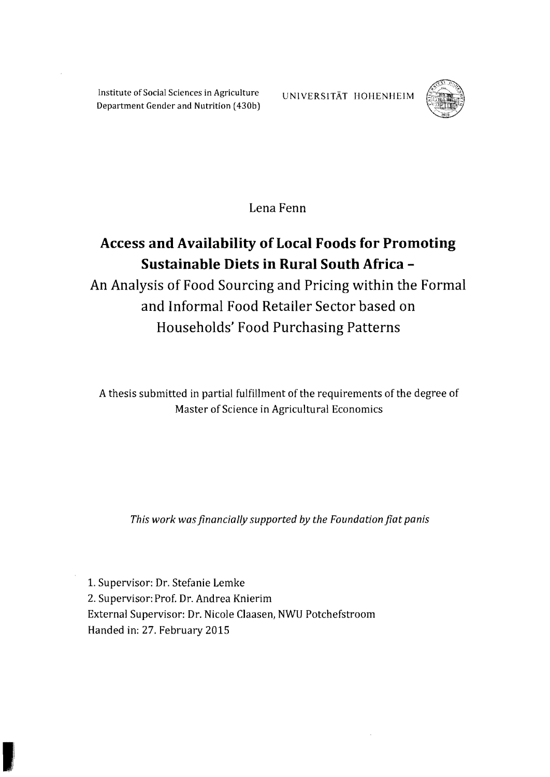Institute of Social Sciences in Agriculture UNIVERSITÄT HOHENHEIM Department Gender and Nutrition (430b)



**Lena Fenn** 

## Access and Availability of Local Foods for Promoting **Sustainable Diets in Rural South Africa**

**An Analysis of Food Sourcing and Pricing within the Formal and Informal Food Retailer Sector based on Households' Food Purchasing Patterns** 

A thesis submitted in partial fulfillment of the requirements of the degree of Master of Science in Agricultural Economics

*This work was jinancially supported* by *the Foundation jiat panis* 

1. Supervisor: Dr. Stefanie Lemke 2. Supervisor: Prof. Dr. Andrea Knierim External Supervisor: Dr. Nicole Claasen, NWU Potchefstroom Handed in: 27. February 2015